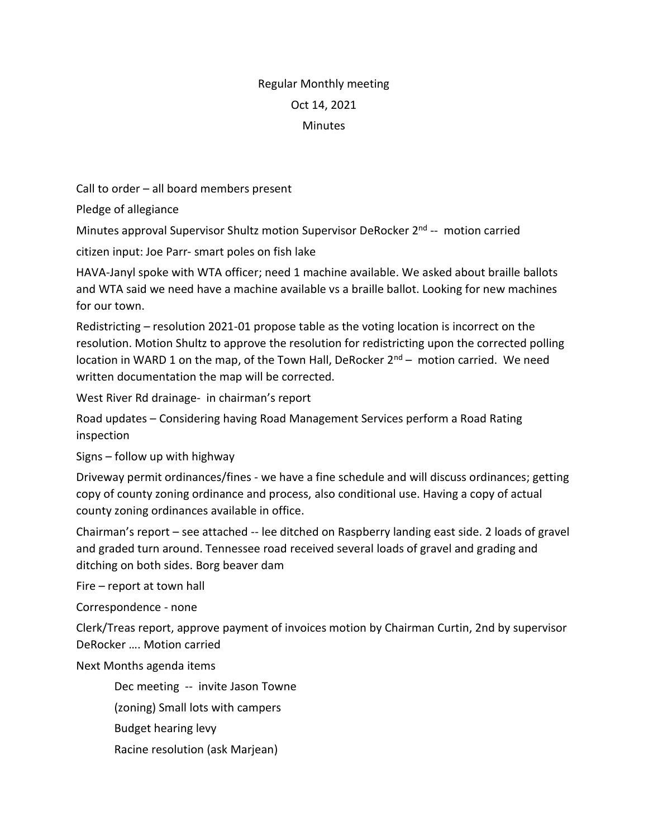## Regular Monthly meeting Oct 14, 2021 **Minutes**

Call to order – all board members present

Pledge of allegiance

Minutes approval Supervisor Shultz motion Supervisor DeRocker 2<sup>nd</sup> -- motion carried

citizen input: Joe Parr- smart poles on fish lake

HAVA-Janyl spoke with WTA officer; need 1 machine available. We asked about braille ballots and WTA said we need have a machine available vs a braille ballot. Looking for new machines for our town.

Redistricting – resolution 2021-01 propose table as the voting location is incorrect on the resolution. Motion Shultz to approve the resolution for redistricting upon the corrected polling location in WARD 1 on the map, of the Town Hall, DeRocker  $2^{nd}$  – motion carried. We need written documentation the map will be corrected.

West River Rd drainage- in chairman's report

Road updates – Considering having Road Management Services perform a Road Rating inspection

Signs – follow up with highway

Driveway permit ordinances/fines - we have a fine schedule and will discuss ordinances; getting copy of county zoning ordinance and process, also conditional use. Having a copy of actual county zoning ordinances available in office.

Chairman's report – see attached -- lee ditched on Raspberry landing east side. 2 loads of gravel and graded turn around. Tennessee road received several loads of gravel and grading and ditching on both sides. Borg beaver dam

Fire – report at town hall

Correspondence - none

Clerk/Treas report, approve payment of invoices motion by Chairman Curtin, 2nd by supervisor DeRocker …. Motion carried

Next Months agenda items

Dec meeting -- invite Jason Towne

(zoning) Small lots with campers

Budget hearing levy

Racine resolution (ask Marjean)